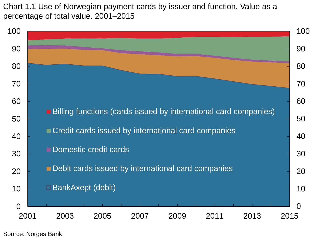Chart 1.1 Use of Norwegian payment cards by issuer and function. Value as a percentage of total value. 2001–2015

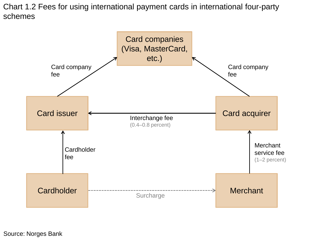Chart 1.2 Fees for using international payment cards in international four-party schemes

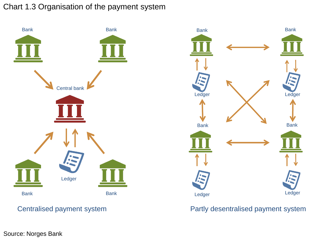## Chart 1.3 Organisation of the payment system





## Centralised payment system **Partly desentralised payment system**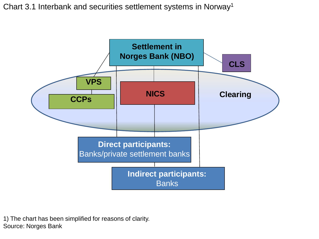Chart 3.1 Interbank and securities settlement systems in Norway1



1) The chart has been simplified for reasons of clarity. Source: Norges Bank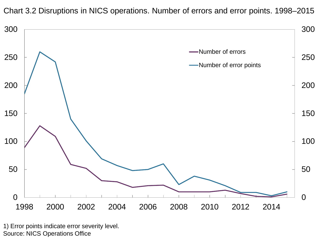Chart 3.2 Disruptions in NICS operations. Number of errors and error points. 1998–2015



1) Error points indicate error severity level. Source: NICS Operations Office